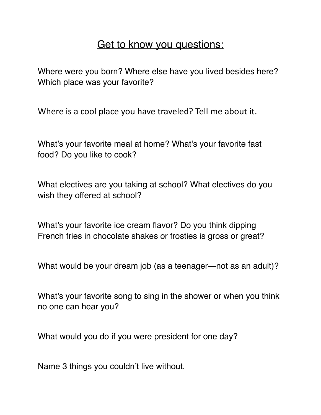## Get to know you questions:

Where were you born? Where else have you lived besides here? Which place was your favorite?

Where is a cool place you have traveled? Tell me about it.

What's your favorite meal at home? What's your favorite fast food? Do you like to cook?

What electives are you taking at school? What electives do you wish they offered at school?

What's your favorite ice cream flavor? Do you think dipping French fries in chocolate shakes or frosties is gross or great?

What would be your dream job (as a teenager—not as an adult)?

What's your favorite song to sing in the shower or when you think no one can hear you?

What would you do if you were president for one day?

Name 3 things you couldn't live without.